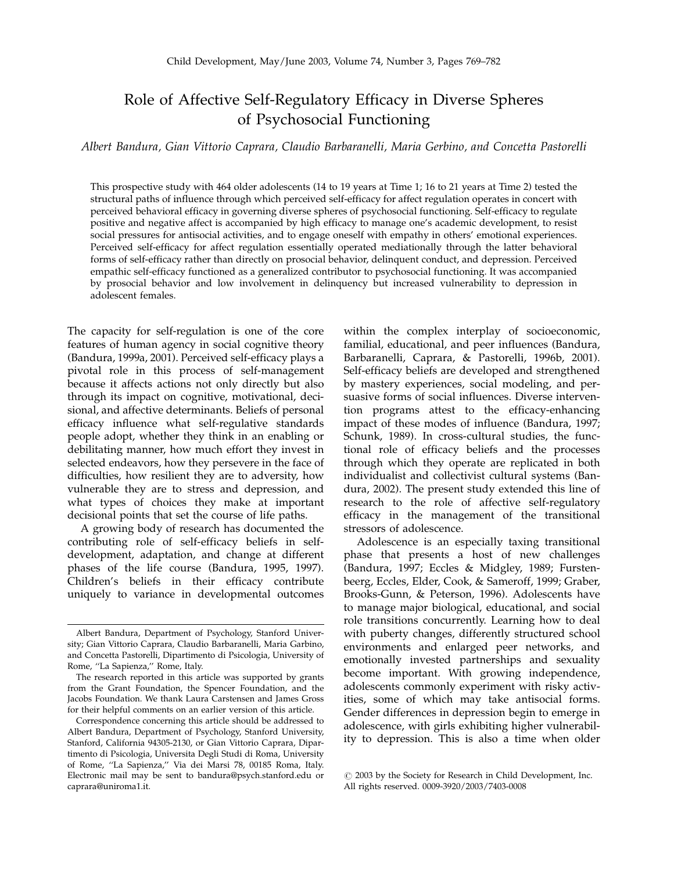# Role of Affective Self-Regulatory Efficacy in Diverse Spheres of Psychosocial Functioning

Albert Bandura, Gian Vittorio Caprara, Claudio Barbaranelli, Maria Gerbino, and Concetta Pastorelli

This prospective study with 464 older adolescents (14 to 19 years at Time 1; 16 to 21 years at Time 2) tested the structural paths of influence through which perceived self-efficacy for affect regulation operates in concert with perceived behavioral efficacy in governing diverse spheres of psychosocial functioning. Self-efficacy to regulate positive and negative affect is accompanied by high efficacy to manage one's academic development, to resist social pressures for antisocial activities, and to engage oneself with empathy in others' emotional experiences. Perceived self-efficacy for affect regulation essentially operated mediationally through the latter behavioral forms of self-efficacy rather than directly on prosocial behavior, delinquent conduct, and depression. Perceived empathic self-efficacy functioned as a generalized contributor to psychosocial functioning. It was accompanied by prosocial behavior and low involvement in delinquency but increased vulnerability to depression in adolescent females.

The capacity for self-regulation is one of the core features of human agency in social cognitive theory (Bandura, 1999a, 2001). Perceived self-efficacy plays a pivotal role in this process of self-management because it affects actions not only directly but also through its impact on cognitive, motivational, decisional, and affective determinants. Beliefs of personal efficacy influence what self-regulative standards people adopt, whether they think in an enabling or debilitating manner, how much effort they invest in selected endeavors, how they persevere in the face of difficulties, how resilient they are to adversity, how vulnerable they are to stress and depression, and what types of choices they make at important decisional points that set the course of life paths.

A growing body of research has documented the contributing role of self-efficacy beliefs in selfdevelopment, adaptation, and change at different phases of the life course (Bandura, 1995, 1997). Children's beliefs in their efficacy contribute uniquely to variance in developmental outcomes

within the complex interplay of socioeconomic, familial, educational, and peer influences (Bandura, Barbaranelli, Caprara, & Pastorelli, 1996b, 2001). Self-efficacy beliefs are developed and strengthened by mastery experiences, social modeling, and persuasive forms of social influences. Diverse intervention programs attest to the efficacy-enhancing impact of these modes of influence (Bandura, 1997; Schunk, 1989). In cross-cultural studies, the functional role of efficacy beliefs and the processes through which they operate are replicated in both individualist and collectivist cultural systems (Bandura, 2002). The present study extended this line of research to the role of affective self-regulatory efficacy in the management of the transitional stressors of adolescence.

Adolescence is an especially taxing transitional phase that presents a host of new challenges (Bandura, 1997; Eccles & Midgley, 1989; Furstenbeerg, Eccles, Elder, Cook, & Sameroff, 1999; Graber, Brooks-Gunn, & Peterson, 1996). Adolescents have to manage major biological, educational, and social role transitions concurrently. Learning how to deal with puberty changes, differently structured school environments and enlarged peer networks, and emotionally invested partnerships and sexuality become important. With growing independence, adolescents commonly experiment with risky activities, some of which may take antisocial forms. Gender differences in depression begin to emerge in adolescence, with girls exhibiting higher vulnerability to depression. This is also a time when older

Albert Bandura, Department of Psychology, Stanford University; Gian Vittorio Caprara, Claudio Barbaranelli, Maria Garbino, and Concetta Pastorelli, Dipartimento di Psicologia, University of Rome, ''La Sapienza,'' Rome, Italy.

The research reported in this article was supported by grants from the Grant Foundation, the Spencer Foundation, and the Jacobs Foundation. We thank Laura Carstensen and James Gross for their helpful comments on an earlier version of this article.

Correspondence concerning this article should be addressed to Albert Bandura, Department of Psychology, Stanford University, Stanford, California 94305-2130, or Gian Vittorio Caprara, Dipartimento di Psicologia, Universita Degli Studi di Roma, University of Rome, ''La Sapienza,'' Via dei Marsi 78, 00185 Roma, Italy. Electronic mail may be sent to bandura@psych.stanford.edu or caprara@uniroma1.it.

 $O$  2003 by the Society for Research in Child Development, Inc. All rights reserved. 0009-3920/2003/7403-0008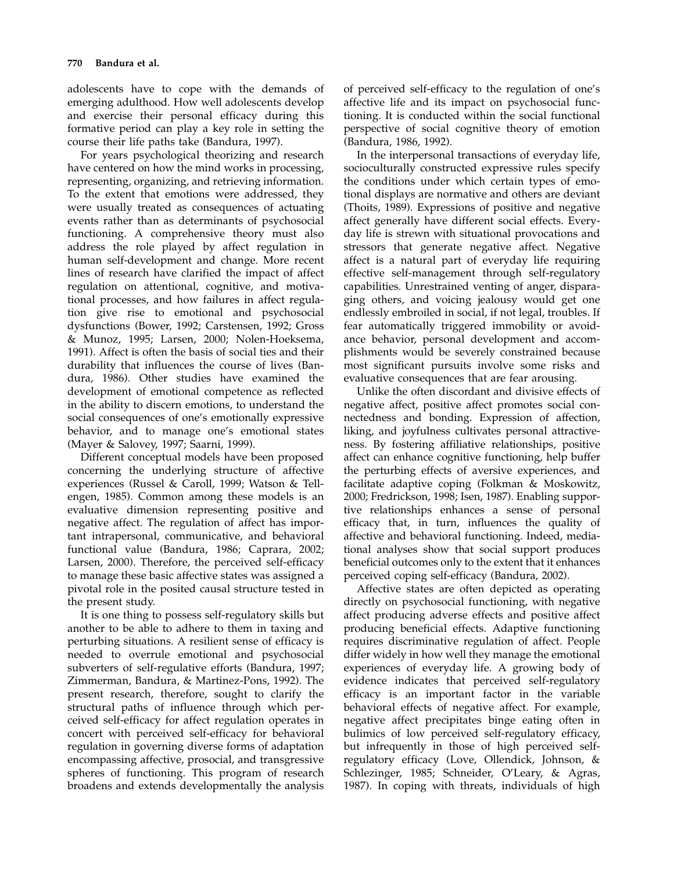adolescents have to cope with the demands of emerging adulthood. How well adolescents develop and exercise their personal efficacy during this formative period can play a key role in setting the course their life paths take (Bandura, 1997).

For years psychological theorizing and research have centered on how the mind works in processing, representing, organizing, and retrieving information. To the extent that emotions were addressed, they were usually treated as consequences of actuating events rather than as determinants of psychosocial functioning. A comprehensive theory must also address the role played by affect regulation in human self-development and change. More recent lines of research have clarified the impact of affect regulation on attentional, cognitive, and motivational processes, and how failures in affect regulation give rise to emotional and psychosocial dysfunctions (Bower, 1992; Carstensen, 1992; Gross & Munoz, 1995; Larsen, 2000; Nolen-Hoeksema, 1991). Affect is often the basis of social ties and their durability that influences the course of lives (Bandura, 1986). Other studies have examined the development of emotional competence as reflected in the ability to discern emotions, to understand the social consequences of one's emotionally expressive behavior, and to manage one's emotional states (Mayer & Salovey, 1997; Saarni, 1999).

Different conceptual models have been proposed concerning the underlying structure of affective experiences (Russel & Caroll, 1999; Watson & Tellengen, 1985). Common among these models is an evaluative dimension representing positive and negative affect. The regulation of affect has important intrapersonal, communicative, and behavioral functional value (Bandura, 1986; Caprara, 2002; Larsen, 2000). Therefore, the perceived self-efficacy to manage these basic affective states was assigned a pivotal role in the posited causal structure tested in the present study.

It is one thing to possess self-regulatory skills but another to be able to adhere to them in taxing and perturbing situations. A resilient sense of efficacy is needed to overrule emotional and psychosocial subverters of self-regulative efforts (Bandura, 1997; Zimmerman, Bandura, & Martinez-Pons, 1992). The present research, therefore, sought to clarify the structural paths of influence through which perceived self-efficacy for affect regulation operates in concert with perceived self-efficacy for behavioral regulation in governing diverse forms of adaptation encompassing affective, prosocial, and transgressive spheres of functioning. This program of research broadens and extends developmentally the analysis

of perceived self-efficacy to the regulation of one's affective life and its impact on psychosocial functioning. It is conducted within the social functional perspective of social cognitive theory of emotion (Bandura, 1986, 1992).

In the interpersonal transactions of everyday life, socioculturally constructed expressive rules specify the conditions under which certain types of emotional displays are normative and others are deviant (Thoits, 1989). Expressions of positive and negative affect generally have different social effects. Everyday life is strewn with situational provocations and stressors that generate negative affect. Negative affect is a natural part of everyday life requiring effective self-management through self-regulatory capabilities. Unrestrained venting of anger, disparaging others, and voicing jealousy would get one endlessly embroiled in social, if not legal, troubles. If fear automatically triggered immobility or avoidance behavior, personal development and accomplishments would be severely constrained because most significant pursuits involve some risks and evaluative consequences that are fear arousing.

Unlike the often discordant and divisive effects of negative affect, positive affect promotes social connectedness and bonding. Expression of affection, liking, and joyfulness cultivates personal attractiveness. By fostering affiliative relationships, positive affect can enhance cognitive functioning, help buffer the perturbing effects of aversive experiences, and facilitate adaptive coping (Folkman & Moskowitz, 2000; Fredrickson, 1998; Isen, 1987). Enabling supportive relationships enhances a sense of personal efficacy that, in turn, influences the quality of affective and behavioral functioning. Indeed, mediational analyses show that social support produces beneficial outcomes only to the extent that it enhances perceived coping self-efficacy (Bandura, 2002).

Affective states are often depicted as operating directly on psychosocial functioning, with negative affect producing adverse effects and positive affect producing beneficial effects. Adaptive functioning requires discriminative regulation of affect. People differ widely in how well they manage the emotional experiences of everyday life. A growing body of evidence indicates that perceived self-regulatory efficacy is an important factor in the variable behavioral effects of negative affect. For example, negative affect precipitates binge eating often in bulimics of low perceived self-regulatory efficacy, but infrequently in those of high perceived selfregulatory efficacy (Love, Ollendick, Johnson, & Schlezinger, 1985; Schneider, O'Leary, & Agras, 1987). In coping with threats, individuals of high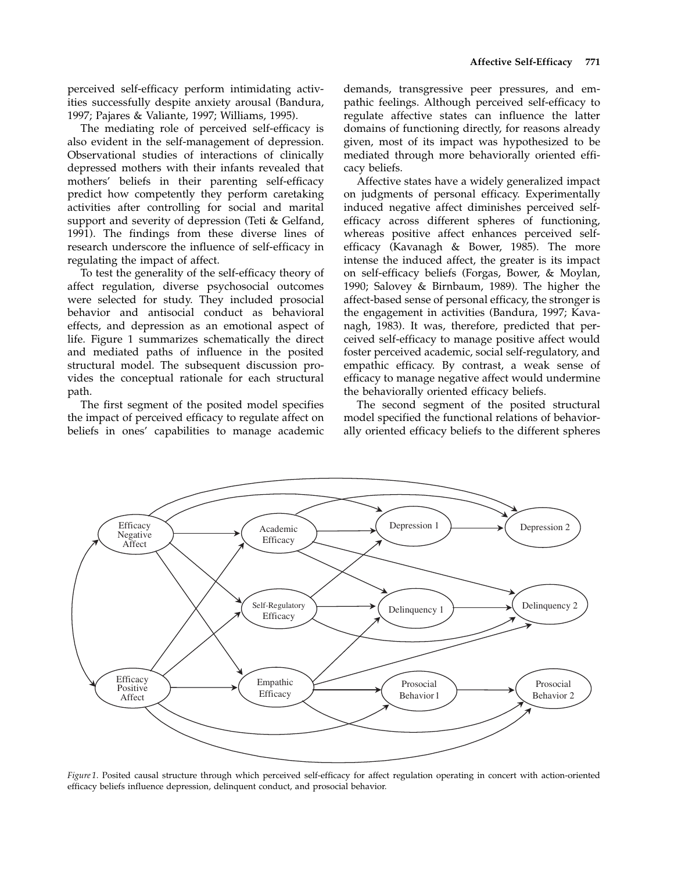perceived self-efficacy perform intimidating activities successfully despite anxiety arousal (Bandura, 1997; Pajares & Valiante, 1997; Williams, 1995).

The mediating role of perceived self-efficacy is also evident in the self-management of depression. Observational studies of interactions of clinically depressed mothers with their infants revealed that mothers' beliefs in their parenting self-efficacy predict how competently they perform caretaking activities after controlling for social and marital support and severity of depression (Teti & Gelfand, 1991). The findings from these diverse lines of research underscore the influence of self-efficacy in regulating the impact of affect.

To test the generality of the self-efficacy theory of affect regulation, diverse psychosocial outcomes were selected for study. They included prosocial behavior and antisocial conduct as behavioral effects, and depression as an emotional aspect of life. Figure 1 summarizes schematically the direct and mediated paths of influence in the posited structural model. The subsequent discussion provides the conceptual rationale for each structural path.

The first segment of the posited model specifies the impact of perceived efficacy to regulate affect on beliefs in ones' capabilities to manage academic demands, transgressive peer pressures, and empathic feelings. Although perceived self-efficacy to regulate affective states can influence the latter domains of functioning directly, for reasons already given, most of its impact was hypothesized to be mediated through more behaviorally oriented efficacy beliefs.

Affective states have a widely generalized impact on judgments of personal efficacy. Experimentally induced negative affect diminishes perceived selfefficacy across different spheres of functioning, whereas positive affect enhances perceived selfefficacy (Kavanagh & Bower, 1985). The more intense the induced affect, the greater is its impact on self-efficacy beliefs (Forgas, Bower, & Moylan, 1990; Salovey & Birnbaum, 1989). The higher the affect-based sense of personal efficacy, the stronger is the engagement in activities (Bandura, 1997; Kavanagh, 1983). It was, therefore, predicted that perceived self-efficacy to manage positive affect would foster perceived academic, social self-regulatory, and empathic efficacy. By contrast, a weak sense of efficacy to manage negative affect would undermine the behaviorally oriented efficacy beliefs.

The second segment of the posited structural model specified the functional relations of behaviorally oriented efficacy beliefs to the different spheres



Figure 1. Posited causal structure through which perceived self-efficacy for affect regulation operating in concert with action-oriented efficacy beliefs influence depression, delinquent conduct, and prosocial behavior.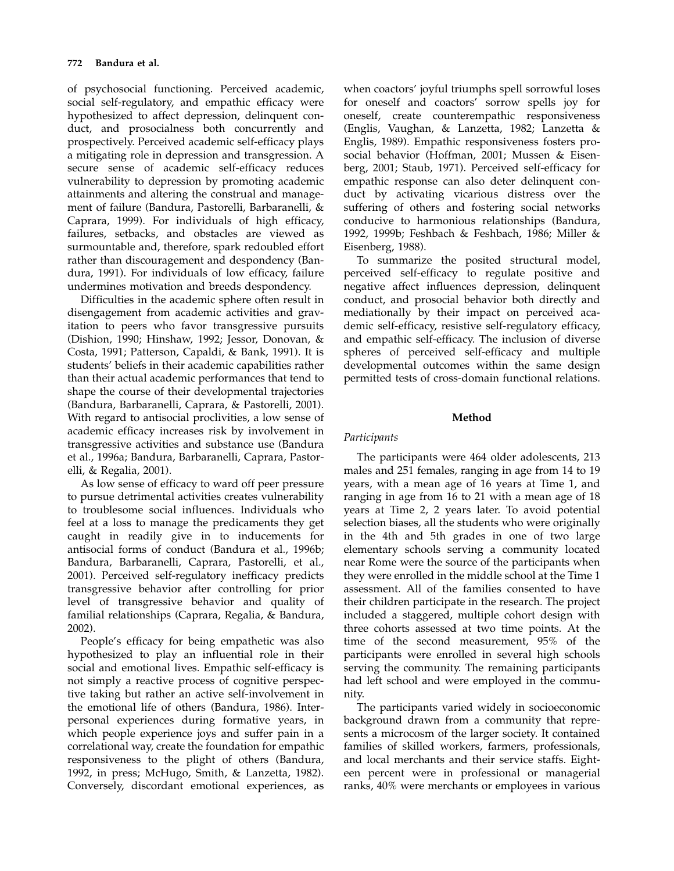of psychosocial functioning. Perceived academic, social self-regulatory, and empathic efficacy were hypothesized to affect depression, delinquent conduct, and prosocialness both concurrently and prospectively. Perceived academic self-efficacy plays a mitigating role in depression and transgression. A secure sense of academic self-efficacy reduces vulnerability to depression by promoting academic attainments and altering the construal and management of failure (Bandura, Pastorelli, Barbaranelli, & Caprara, 1999). For individuals of high efficacy, failures, setbacks, and obstacles are viewed as surmountable and, therefore, spark redoubled effort rather than discouragement and despondency (Bandura, 1991). For individuals of low efficacy, failure undermines motivation and breeds despondency.

Difficulties in the academic sphere often result in disengagement from academic activities and gravitation to peers who favor transgressive pursuits (Dishion, 1990; Hinshaw, 1992; Jessor, Donovan, & Costa, 1991; Patterson, Capaldi, & Bank, 1991). It is students' beliefs in their academic capabilities rather than their actual academic performances that tend to shape the course of their developmental trajectories (Bandura, Barbaranelli, Caprara, & Pastorelli, 2001). With regard to antisocial proclivities, a low sense of academic efficacy increases risk by involvement in transgressive activities and substance use (Bandura et al., 1996a; Bandura, Barbaranelli, Caprara, Pastorelli, & Regalia, 2001).

As low sense of efficacy to ward off peer pressure to pursue detrimental activities creates vulnerability to troublesome social influences. Individuals who feel at a loss to manage the predicaments they get caught in readily give in to inducements for antisocial forms of conduct (Bandura et al., 1996b; Bandura, Barbaranelli, Caprara, Pastorelli, et al., 2001). Perceived self-regulatory inefficacy predicts transgressive behavior after controlling for prior level of transgressive behavior and quality of familial relationships (Caprara, Regalia, & Bandura, 2002).

People's efficacy for being empathetic was also hypothesized to play an influential role in their social and emotional lives. Empathic self-efficacy is not simply a reactive process of cognitive perspective taking but rather an active self-involvement in the emotional life of others (Bandura, 1986). Interpersonal experiences during formative years, in which people experience joys and suffer pain in a correlational way, create the foundation for empathic responsiveness to the plight of others (Bandura, 1992, in press; McHugo, Smith, & Lanzetta, 1982). Conversely, discordant emotional experiences, as

when coactors' joyful triumphs spell sorrowful loses for oneself and coactors' sorrow spells joy for oneself, create counterempathic responsiveness (Englis, Vaughan, & Lanzetta, 1982; Lanzetta & Englis, 1989). Empathic responsiveness fosters prosocial behavior (Hoffman, 2001; Mussen & Eisenberg, 2001; Staub, 1971). Perceived self-efficacy for empathic response can also deter delinquent conduct by activating vicarious distress over the suffering of others and fostering social networks conducive to harmonious relationships (Bandura, 1992, 1999b; Feshbach & Feshbach, 1986; Miller & Eisenberg, 1988).

To summarize the posited structural model, perceived self-efficacy to regulate positive and negative affect influences depression, delinquent conduct, and prosocial behavior both directly and mediationally by their impact on perceived academic self-efficacy, resistive self-regulatory efficacy, and empathic self-efficacy. The inclusion of diverse spheres of perceived self-efficacy and multiple developmental outcomes within the same design permitted tests of cross-domain functional relations.

#### Method

#### Participants

The participants were 464 older adolescents, 213 males and 251 females, ranging in age from 14 to 19 years, with a mean age of 16 years at Time 1, and ranging in age from 16 to 21 with a mean age of 18 years at Time 2, 2 years later. To avoid potential selection biases, all the students who were originally in the 4th and 5th grades in one of two large elementary schools serving a community located near Rome were the source of the participants when they were enrolled in the middle school at the Time 1 assessment. All of the families consented to have their children participate in the research. The project included a staggered, multiple cohort design with three cohorts assessed at two time points. At the time of the second measurement, 95% of the participants were enrolled in several high schools serving the community. The remaining participants had left school and were employed in the community.

The participants varied widely in socioeconomic background drawn from a community that represents a microcosm of the larger society. It contained families of skilled workers, farmers, professionals, and local merchants and their service staffs. Eighteen percent were in professional or managerial ranks, 40% were merchants or employees in various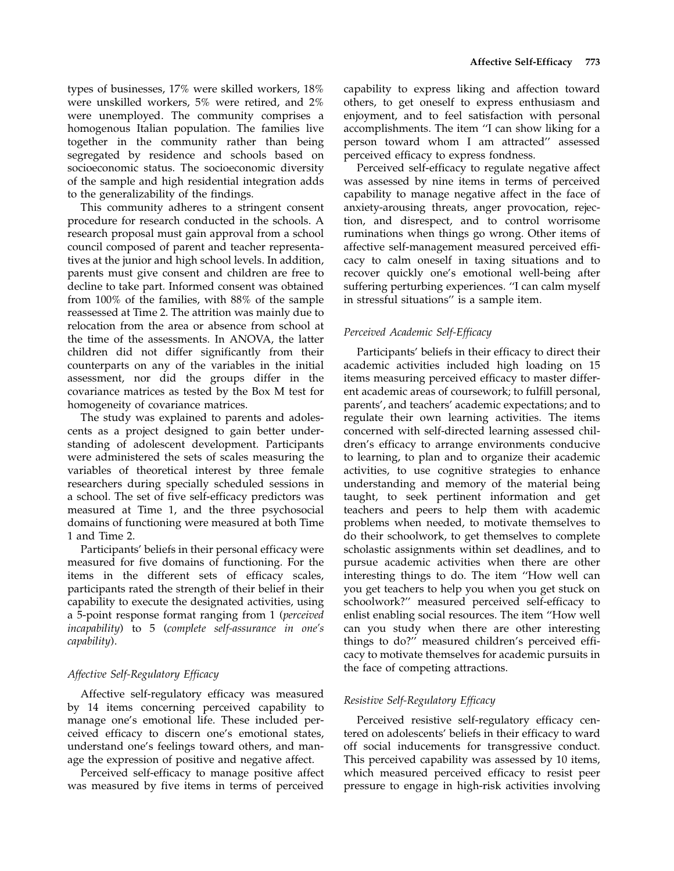types of businesses, 17% were skilled workers, 18% were unskilled workers, 5% were retired, and 2% were unemployed. The community comprises a homogenous Italian population. The families live together in the community rather than being segregated by residence and schools based on socioeconomic status. The socioeconomic diversity of the sample and high residential integration adds to the generalizability of the findings.

This community adheres to a stringent consent procedure for research conducted in the schools. A research proposal must gain approval from a school council composed of parent and teacher representatives at the junior and high school levels. In addition, parents must give consent and children are free to decline to take part. Informed consent was obtained from 100% of the families, with 88% of the sample reassessed at Time 2. The attrition was mainly due to relocation from the area or absence from school at the time of the assessments. In ANOVA, the latter children did not differ significantly from their counterparts on any of the variables in the initial assessment, nor did the groups differ in the covariance matrices as tested by the Box M test for homogeneity of covariance matrices.

The study was explained to parents and adolescents as a project designed to gain better understanding of adolescent development. Participants were administered the sets of scales measuring the variables of theoretical interest by three female researchers during specially scheduled sessions in a school. The set of five self-efficacy predictors was measured at Time 1, and the three psychosocial domains of functioning were measured at both Time 1 and Time 2.

Participants' beliefs in their personal efficacy were measured for five domains of functioning. For the items in the different sets of efficacy scales, participants rated the strength of their belief in their capability to execute the designated activities, using a 5-point response format ranging from 1 (perceived incapability) to 5 (complete self-assurance in one's capability).

## Affective Self-Regulatory Efficacy

Affective self-regulatory efficacy was measured by 14 items concerning perceived capability to manage one's emotional life. These included perceived efficacy to discern one's emotional states, understand one's feelings toward others, and manage the expression of positive and negative affect.

Perceived self-efficacy to manage positive affect was measured by five items in terms of perceived

capability to express liking and affection toward others, to get oneself to express enthusiasm and enjoyment, and to feel satisfaction with personal accomplishments. The item ''I can show liking for a person toward whom I am attracted'' assessed perceived efficacy to express fondness.

Perceived self-efficacy to regulate negative affect was assessed by nine items in terms of perceived capability to manage negative affect in the face of anxiety-arousing threats, anger provocation, rejection, and disrespect, and to control worrisome ruminations when things go wrong. Other items of affective self-management measured perceived efficacy to calm oneself in taxing situations and to recover quickly one's emotional well-being after suffering perturbing experiences. ''I can calm myself in stressful situations'' is a sample item.

## Perceived Academic Self-Efficacy

Participants' beliefs in their efficacy to direct their academic activities included high loading on 15 items measuring perceived efficacy to master different academic areas of coursework; to fulfill personal, parents', and teachers' academic expectations; and to regulate their own learning activities. The items concerned with self-directed learning assessed children's efficacy to arrange environments conducive to learning, to plan and to organize their academic activities, to use cognitive strategies to enhance understanding and memory of the material being taught, to seek pertinent information and get teachers and peers to help them with academic problems when needed, to motivate themselves to do their schoolwork, to get themselves to complete scholastic assignments within set deadlines, and to pursue academic activities when there are other interesting things to do. The item ''How well can you get teachers to help you when you get stuck on schoolwork?'' measured perceived self-efficacy to enlist enabling social resources. The item ''How well can you study when there are other interesting things to do?'' measured children's perceived efficacy to motivate themselves for academic pursuits in the face of competing attractions.

# Resistive Self-Regulatory Efficacy

Perceived resistive self-regulatory efficacy centered on adolescents' beliefs in their efficacy to ward off social inducements for transgressive conduct. This perceived capability was assessed by 10 items, which measured perceived efficacy to resist peer pressure to engage in high-risk activities involving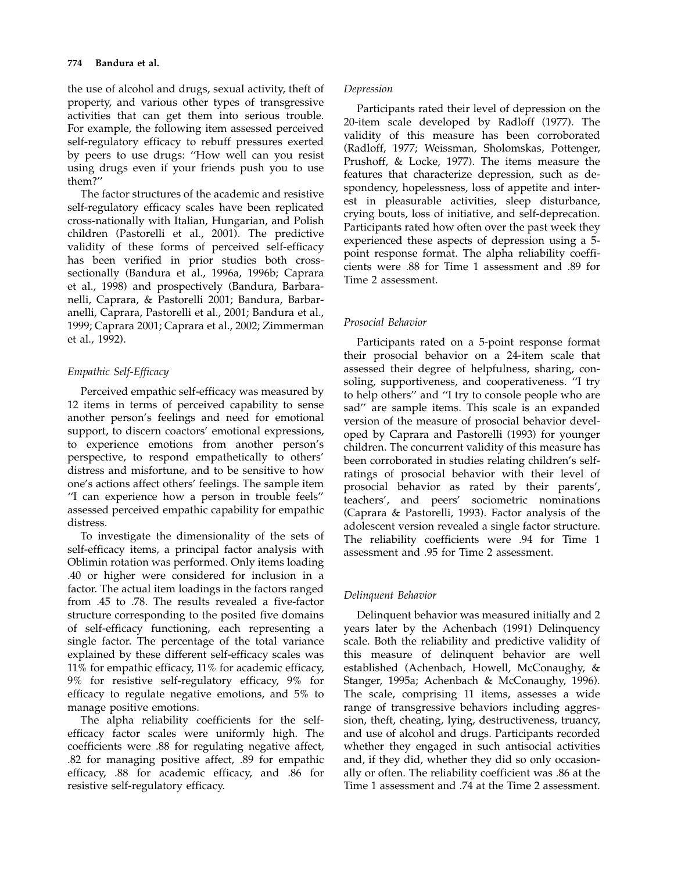the use of alcohol and drugs, sexual activity, theft of property, and various other types of transgressive activities that can get them into serious trouble. For example, the following item assessed perceived self-regulatory efficacy to rebuff pressures exerted by peers to use drugs: ''How well can you resist using drugs even if your friends push you to use them?''

The factor structures of the academic and resistive self-regulatory efficacy scales have been replicated cross-nationally with Italian, Hungarian, and Polish children (Pastorelli et al., 2001). The predictive validity of these forms of perceived self-efficacy has been verified in prior studies both crosssectionally (Bandura et al., 1996a, 1996b; Caprara et al., 1998) and prospectively (Bandura, Barbaranelli, Caprara, & Pastorelli 2001; Bandura, Barbaranelli, Caprara, Pastorelli et al., 2001; Bandura et al., 1999; Caprara 2001; Caprara et al., 2002; Zimmerman et al., 1992).

# Empathic Self-Efficacy

Perceived empathic self-efficacy was measured by 12 items in terms of perceived capability to sense another person's feelings and need for emotional support, to discern coactors' emotional expressions, to experience emotions from another person's perspective, to respond empathetically to others' distress and misfortune, and to be sensitive to how one's actions affect others' feelings. The sample item ''I can experience how a person in trouble feels'' assessed perceived empathic capability for empathic distress.

To investigate the dimensionality of the sets of self-efficacy items, a principal factor analysis with Oblimin rotation was performed. Only items loading .40 or higher were considered for inclusion in a factor. The actual item loadings in the factors ranged from .45 to .78. The results revealed a five-factor structure corresponding to the posited five domains of self-efficacy functioning, each representing a single factor. The percentage of the total variance explained by these different self-efficacy scales was 11% for empathic efficacy, 11% for academic efficacy, 9% for resistive self-regulatory efficacy, 9% for efficacy to regulate negative emotions, and 5% to manage positive emotions.

The alpha reliability coefficients for the selfefficacy factor scales were uniformly high. The coefficients were .88 for regulating negative affect, .82 for managing positive affect, .89 for empathic efficacy, .88 for academic efficacy, and .86 for resistive self-regulatory efficacy.

## Depression

Participants rated their level of depression on the 20-item scale developed by Radloff (1977). The validity of this measure has been corroborated (Radloff, 1977; Weissman, Sholomskas, Pottenger, Prushoff, & Locke, 1977). The items measure the features that characterize depression, such as despondency, hopelessness, loss of appetite and interest in pleasurable activities, sleep disturbance, crying bouts, loss of initiative, and self-deprecation. Participants rated how often over the past week they experienced these aspects of depression using a 5 point response format. The alpha reliability coefficients were .88 for Time 1 assessment and .89 for Time 2 assessment.

## Prosocial Behavior

Participants rated on a 5-point response format their prosocial behavior on a 24-item scale that assessed their degree of helpfulness, sharing, consoling, supportiveness, and cooperativeness. ''I try to help others'' and ''I try to console people who are sad'' are sample items. This scale is an expanded version of the measure of prosocial behavior developed by Caprara and Pastorelli (1993) for younger children. The concurrent validity of this measure has been corroborated in studies relating children's selfratings of prosocial behavior with their level of prosocial behavior as rated by their parents', teachers', and peers' sociometric nominations (Caprara & Pastorelli, 1993). Factor analysis of the adolescent version revealed a single factor structure. The reliability coefficients were .94 for Time 1 assessment and .95 for Time 2 assessment.

## Delinquent Behavior

Delinquent behavior was measured initially and 2 years later by the Achenbach (1991) Delinquency scale. Both the reliability and predictive validity of this measure of delinquent behavior are well established (Achenbach, Howell, McConaughy, & Stanger, 1995a; Achenbach & McConaughy, 1996). The scale, comprising 11 items, assesses a wide range of transgressive behaviors including aggression, theft, cheating, lying, destructiveness, truancy, and use of alcohol and drugs. Participants recorded whether they engaged in such antisocial activities and, if they did, whether they did so only occasionally or often. The reliability coefficient was .86 at the Time 1 assessment and .74 at the Time 2 assessment.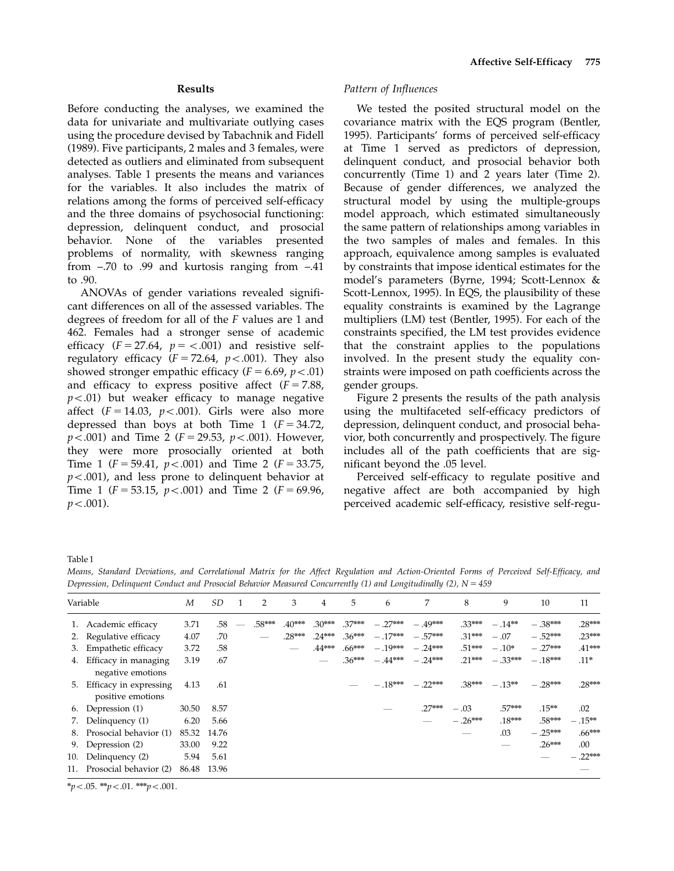#### Results

Before conducting the analyses, we examined the data for univariate and multivariate outlying cases using the procedure devised by Tabachnik and Fidell (1989). Five participants, 2 males and 3 females, were detected as outliers and eliminated from subsequent analyses. Table 1 presents the means and variances for the variables. It also includes the matrix of relations among the forms of perceived self-efficacy and the three domains of psychosocial functioning: depression, delinquent conduct, and prosocial behavior. None of the variables presented problems of normality, with skewness ranging from –.70 to .99 and kurtosis ranging from –.41 to .90.

ANOVAs of gender variations revealed significant differences on all of the assessed variables. The degrees of freedom for all of the F values are 1 and 462. Females had a stronger sense of academic efficacy  $(F = 27.64, p = <.001)$  and resistive selfregulatory efficacy  $(F = 72.64, p < .001)$ . They also showed stronger empathic efficacy ( $F = 6.69$ ,  $p < .01$ ) and efficacy to express positive affect  $(F = 7.88)$ ,  $p<.01$ ) but weaker efficacy to manage negative affect  $(F = 14.03, p < .001)$ . Girls were also more depressed than boys at both Time 1  $(F = 34.72)$ ,  $p<.001$ ) and Time 2 ( $F = 29.53$ ,  $p<.001$ ). However, they were more prosocially oriented at both Time 1 ( $F = 59.41$ ,  $p < .001$ ) and Time 2 ( $F = 33.75$ ,  $p<.001$ ), and less prone to delinquent behavior at Time 1 ( $F = 53.15$ ,  $p < .001$ ) and Time 2 ( $F = 69.96$ ,  $p < .001$ ).

#### Pattern of Influences

We tested the posited structural model on the covariance matrix with the EQS program (Bentler, 1995). Participants' forms of perceived self-efficacy at Time 1 served as predictors of depression, delinquent conduct, and prosocial behavior both concurrently (Time 1) and 2 years later (Time 2). Because of gender differences, we analyzed the structural model by using the multiple-groups model approach, which estimated simultaneously the same pattern of relationships among variables in the two samples of males and females. In this approach, equivalence among samples is evaluated by constraints that impose identical estimates for the model's parameters (Byrne, 1994; Scott-Lennox & Scott-Lennox, 1995). In EQS, the plausibility of these equality constraints is examined by the Lagrange multipliers (LM) test (Bentler, 1995). For each of the constraints specified, the LM test provides evidence that the constraint applies to the populations involved. In the present study the equality constraints were imposed on path coefficients across the gender groups.

Figure 2 presents the results of the path analysis using the multifaceted self-efficacy predictors of depression, delinquent conduct, and prosocial behavior, both concurrently and prospectively. The figure includes all of the path coefficients that are significant beyond the .05 level.

Perceived self-efficacy to regulate positive and negative affect are both accompanied by high perceived academic self-efficacy, resistive self-regu-

Table 1

| Variable |                                             | М     | SD    | 1 | 2        | 3        | 4        | 5        | 6         | 7         | 8         | 9         | 10        | 11        |
|----------|---------------------------------------------|-------|-------|---|----------|----------|----------|----------|-----------|-----------|-----------|-----------|-----------|-----------|
|          | Academic efficacy                           | 3.71  | .58   |   | $.58***$ | $.40***$ | $.30***$ | .37***   | $-.27***$ | $-.49***$ | $.33***$  | $-.14***$ | $-.38***$ | $.28***$  |
|          | 2. Regulative efficacy                      | 4.07  | .70   |   |          | $.28***$ | $.24***$ | $.36***$ | $-.17***$ | $-.57***$ | $.31***$  | $-.07$    | $-.52***$ | $.23***$  |
|          | 3. Empathetic efficacy                      | 3.72  | .58   |   |          |          | $.44***$ | $.66***$ | $-.19***$ | $-.24***$ | $.51***$  | $-.10*$   | $-.27***$ | $.41***$  |
| 4.       | Efficacy in managing<br>negative emotions   | 3.19  | .67   |   |          |          |          | $.36***$ | $-.44***$ | $-.24***$ | $.21***$  | $-.33***$ | $-.18***$ | $.11*$    |
| 5.       | Efficacy in expressing<br>positive emotions | 4.13  | .61   |   |          |          |          |          | $-.18***$ | $-.22***$ | $.38***$  | $-.13***$ | $-.28***$ | $.28***$  |
|          | 6. Depression (1)                           | 30.50 | 8.57  |   |          |          |          |          |           | $.27***$  | $-.03$    | $.57***$  | $.15***$  | .02       |
| 7.       | Delinquency (1)                             | 6.20  | 5.66  |   |          |          |          |          |           |           | $-.26***$ | $.18***$  | $.58***$  | $-.15***$ |
| 8.       | Prosocial behavior (1)                      | 85.32 | 14.76 |   |          |          |          |          |           |           |           | .03       | $-.25***$ | $.66***$  |
| 9.       | Depression (2)                              | 33.00 | 9.22  |   |          |          |          |          |           |           |           |           | $.26***$  | .00       |
| 10.      | Delinquency (2)                             | 5.94  | 5.61  |   |          |          |          |          |           |           |           |           |           | $-.22***$ |
| 11.      | Prosocial behavior (2)                      | 86.48 | 13.96 |   |          |          |          |          |           |           |           |           |           |           |

Means, Standard Deviations, and Correlational Matrix for the Affect Regulation and Action-Oriented Forms of Perceived Self-Efficacy, and Depression, Delinquent Conduct and Prosocial Behavior Measured Concurrently (1) and Longitudinally (2),  $N = 459$ 

\* $p < .05$ . \*\* $p < .01$ . \*\*\* $p < .001$ .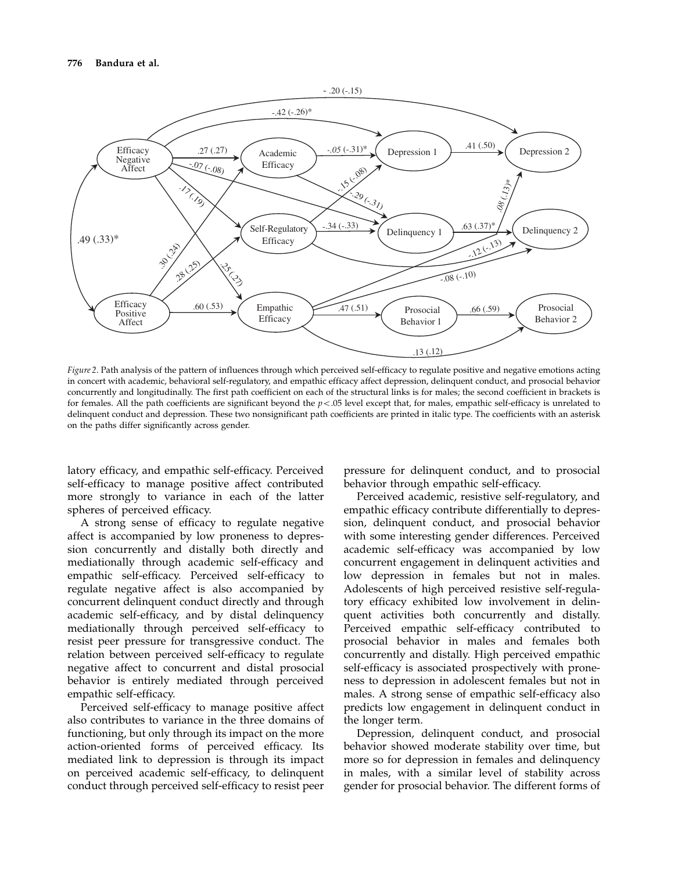

Figure 2. Path analysis of the pattern of influences through which perceived self-efficacy to regulate positive and negative emotions acting in concert with academic, behavioral self-regulatory, and empathic efficacy affect depression, delinquent conduct, and prosocial behavior concurrently and longitudinally. The first path coefficient on each of the structural links is for males; the second coefficient in brackets is for females. All the path coefficients are significant beyond the  $p < .05$  level except that, for males, empathic self-efficacy is unrelated to delinquent conduct and depression. These two nonsignificant path coefficients are printed in italic type. The coefficients with an asterisk on the paths differ significantly across gender.

latory efficacy, and empathic self-efficacy. Perceived self-efficacy to manage positive affect contributed more strongly to variance in each of the latter spheres of perceived efficacy.

A strong sense of efficacy to regulate negative affect is accompanied by low proneness to depression concurrently and distally both directly and mediationally through academic self-efficacy and empathic self-efficacy. Perceived self-efficacy to regulate negative affect is also accompanied by concurrent delinquent conduct directly and through academic self-efficacy, and by distal delinquency mediationally through perceived self-efficacy to resist peer pressure for transgressive conduct. The relation between perceived self-efficacy to regulate negative affect to concurrent and distal prosocial behavior is entirely mediated through perceived empathic self-efficacy.

Perceived self-efficacy to manage positive affect also contributes to variance in the three domains of functioning, but only through its impact on the more action-oriented forms of perceived efficacy. Its mediated link to depression is through its impact on perceived academic self-efficacy, to delinquent conduct through perceived self-efficacy to resist peer

pressure for delinquent conduct, and to prosocial behavior through empathic self-efficacy.

Perceived academic, resistive self-regulatory, and empathic efficacy contribute differentially to depression, delinquent conduct, and prosocial behavior with some interesting gender differences. Perceived academic self-efficacy was accompanied by low concurrent engagement in delinquent activities and low depression in females but not in males. Adolescents of high perceived resistive self-regulatory efficacy exhibited low involvement in delinquent activities both concurrently and distally. Perceived empathic self-efficacy contributed to prosocial behavior in males and females both concurrently and distally. High perceived empathic self-efficacy is associated prospectively with proneness to depression in adolescent females but not in males. A strong sense of empathic self-efficacy also predicts low engagement in delinquent conduct in the longer term.

Depression, delinquent conduct, and prosocial behavior showed moderate stability over time, but more so for depression in females and delinquency in males, with a similar level of stability across gender for prosocial behavior. The different forms of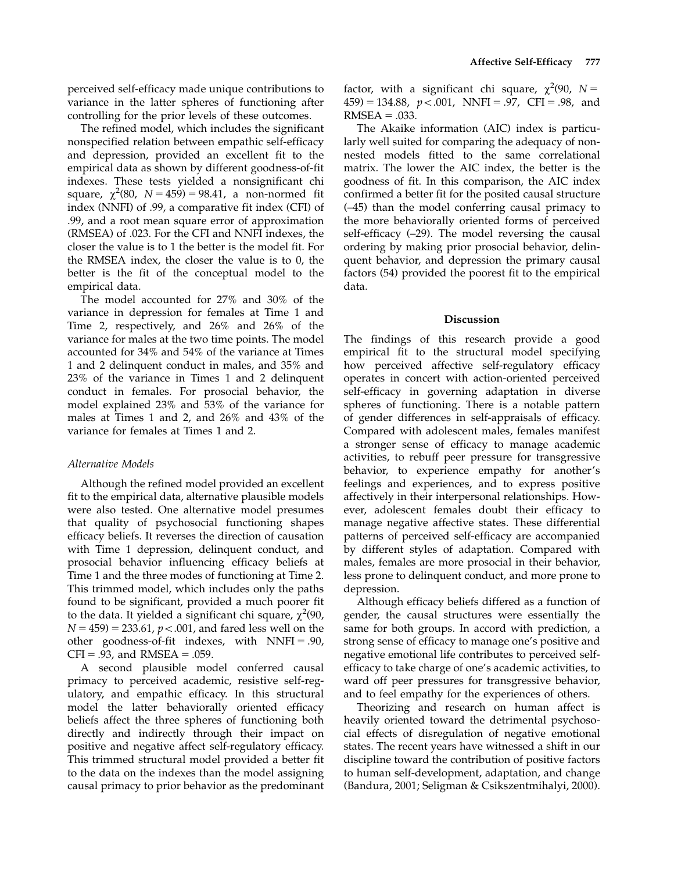perceived self-efficacy made unique contributions to variance in the latter spheres of functioning after controlling for the prior levels of these outcomes.

The refined model, which includes the significant nonspecified relation between empathic self-efficacy and depression, provided an excellent fit to the empirical data as shown by different goodness-of-fit indexes. These tests yielded a nonsignificant chi square,  $\chi^2(80, N = 459) = 98.41$ , a non-normed fit index (NNFI) of .99, a comparative fit index (CFI) of .99, and a root mean square error of approximation (RMSEA) of .023. For the CFI and NNFI indexes, the closer the value is to 1 the better is the model fit. For the RMSEA index, the closer the value is to 0, the better is the fit of the conceptual model to the empirical data.

The model accounted for 27% and 30% of the variance in depression for females at Time 1 and Time 2, respectively, and 26% and 26% of the variance for males at the two time points. The model accounted for 34% and 54% of the variance at Times 1 and 2 delinquent conduct in males, and 35% and 23% of the variance in Times 1 and 2 delinquent conduct in females. For prosocial behavior, the model explained 23% and 53% of the variance for males at Times 1 and 2, and 26% and 43% of the variance for females at Times 1 and 2.

## Alternative Models

Although the refined model provided an excellent fit to the empirical data, alternative plausible models were also tested. One alternative model presumes that quality of psychosocial functioning shapes efficacy beliefs. It reverses the direction of causation with Time 1 depression, delinquent conduct, and prosocial behavior influencing efficacy beliefs at Time 1 and the three modes of functioning at Time 2. This trimmed model, which includes only the paths found to be significant, provided a much poorer fit to the data. It yielded a significant chi square,  $\chi^2(90,$  $N = 459$ ) = 233.61,  $p < .001$ , and fared less well on the other goodness-of-fit indexes, with  $NNFI = .90$ ,  $CFI = .93$ , and RMSEA = .059.

A second plausible model conferred causal primacy to perceived academic, resistive self-regulatory, and empathic efficacy. In this structural model the latter behaviorally oriented efficacy beliefs affect the three spheres of functioning both directly and indirectly through their impact on positive and negative affect self-regulatory efficacy. This trimmed structural model provided a better fit to the data on the indexes than the model assigning causal primacy to prior behavior as the predominant

factor, with a significant chi square,  $\chi^2(90, N =$  $(459) = 134.88$ ,  $p < .001$ , NNFI = .97, CFI = .98, and  $RMSEA = .033$ .

The Akaike information (AIC) index is particularly well suited for comparing the adequacy of nonnested models fitted to the same correlational matrix. The lower the AIC index, the better is the goodness of fit. In this comparison, the AIC index confirmed a better fit for the posited causal structure (–45) than the model conferring causal primacy to the more behaviorally oriented forms of perceived self-efficacy (–29). The model reversing the causal ordering by making prior prosocial behavior, delinquent behavior, and depression the primary causal factors (54) provided the poorest fit to the empirical data.

#### **Discussion**

The findings of this research provide a good empirical fit to the structural model specifying how perceived affective self-regulatory efficacy operates in concert with action-oriented perceived self-efficacy in governing adaptation in diverse spheres of functioning. There is a notable pattern of gender differences in self-appraisals of efficacy. Compared with adolescent males, females manifest a stronger sense of efficacy to manage academic activities, to rebuff peer pressure for transgressive behavior, to experience empathy for another's feelings and experiences, and to express positive affectively in their interpersonal relationships. However, adolescent females doubt their efficacy to manage negative affective states. These differential patterns of perceived self-efficacy are accompanied by different styles of adaptation. Compared with males, females are more prosocial in their behavior, less prone to delinquent conduct, and more prone to depression.

Although efficacy beliefs differed as a function of gender, the causal structures were essentially the same for both groups. In accord with prediction, a strong sense of efficacy to manage one's positive and negative emotional life contributes to perceived selfefficacy to take charge of one's academic activities, to ward off peer pressures for transgressive behavior, and to feel empathy for the experiences of others.

Theorizing and research on human affect is heavily oriented toward the detrimental psychosocial effects of disregulation of negative emotional states. The recent years have witnessed a shift in our discipline toward the contribution of positive factors to human self-development, adaptation, and change (Bandura, 2001; Seligman & Csikszentmihalyi, 2000).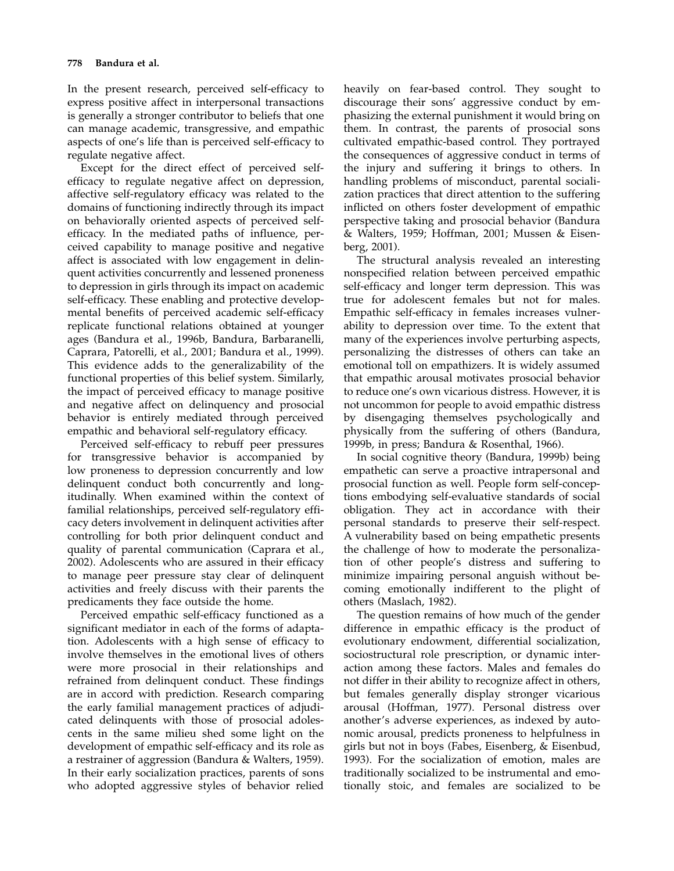In the present research, perceived self-efficacy to express positive affect in interpersonal transactions is generally a stronger contributor to beliefs that one can manage academic, transgressive, and empathic aspects of one's life than is perceived self-efficacy to regulate negative affect.

Except for the direct effect of perceived selfefficacy to regulate negative affect on depression, affective self-regulatory efficacy was related to the domains of functioning indirectly through its impact on behaviorally oriented aspects of perceived selfefficacy. In the mediated paths of influence, perceived capability to manage positive and negative affect is associated with low engagement in delinquent activities concurrently and lessened proneness to depression in girls through its impact on academic self-efficacy. These enabling and protective developmental benefits of perceived academic self-efficacy replicate functional relations obtained at younger ages (Bandura et al., 1996b, Bandura, Barbaranelli, Caprara, Patorelli, et al., 2001; Bandura et al., 1999). This evidence adds to the generalizability of the functional properties of this belief system. Similarly, the impact of perceived efficacy to manage positive and negative affect on delinquency and prosocial behavior is entirely mediated through perceived empathic and behavioral self-regulatory efficacy.

Perceived self-efficacy to rebuff peer pressures for transgressive behavior is accompanied by low proneness to depression concurrently and low delinquent conduct both concurrently and longitudinally. When examined within the context of familial relationships, perceived self-regulatory efficacy deters involvement in delinquent activities after controlling for both prior delinquent conduct and quality of parental communication (Caprara et al., 2002). Adolescents who are assured in their efficacy to manage peer pressure stay clear of delinquent activities and freely discuss with their parents the predicaments they face outside the home.

Perceived empathic self-efficacy functioned as a significant mediator in each of the forms of adaptation. Adolescents with a high sense of efficacy to involve themselves in the emotional lives of others were more prosocial in their relationships and refrained from delinquent conduct. These findings are in accord with prediction. Research comparing the early familial management practices of adjudicated delinquents with those of prosocial adolescents in the same milieu shed some light on the development of empathic self-efficacy and its role as a restrainer of aggression (Bandura & Walters, 1959). In their early socialization practices, parents of sons who adopted aggressive styles of behavior relied

heavily on fear-based control. They sought to discourage their sons' aggressive conduct by emphasizing the external punishment it would bring on them. In contrast, the parents of prosocial sons cultivated empathic-based control. They portrayed the consequences of aggressive conduct in terms of the injury and suffering it brings to others. In handling problems of misconduct, parental socialization practices that direct attention to the suffering inflicted on others foster development of empathic perspective taking and prosocial behavior (Bandura & Walters, 1959; Hoffman, 2001; Mussen & Eisenberg, 2001).

The structural analysis revealed an interesting nonspecified relation between perceived empathic self-efficacy and longer term depression. This was true for adolescent females but not for males. Empathic self-efficacy in females increases vulnerability to depression over time. To the extent that many of the experiences involve perturbing aspects, personalizing the distresses of others can take an emotional toll on empathizers. It is widely assumed that empathic arousal motivates prosocial behavior to reduce one's own vicarious distress. However, it is not uncommon for people to avoid empathic distress by disengaging themselves psychologically and physically from the suffering of others (Bandura, 1999b, in press; Bandura & Rosenthal, 1966).

In social cognitive theory (Bandura, 1999b) being empathetic can serve a proactive intrapersonal and prosocial function as well. People form self-conceptions embodying self-evaluative standards of social obligation. They act in accordance with their personal standards to preserve their self-respect. A vulnerability based on being empathetic presents the challenge of how to moderate the personalization of other people's distress and suffering to minimize impairing personal anguish without becoming emotionally indifferent to the plight of others (Maslach, 1982).

The question remains of how much of the gender difference in empathic efficacy is the product of evolutionary endowment, differential socialization, sociostructural role prescription, or dynamic interaction among these factors. Males and females do not differ in their ability to recognize affect in others, but females generally display stronger vicarious arousal (Hoffman, 1977). Personal distress over another's adverse experiences, as indexed by autonomic arousal, predicts proneness to helpfulness in girls but not in boys (Fabes, Eisenberg, & Eisenbud, 1993). For the socialization of emotion, males are traditionally socialized to be instrumental and emotionally stoic, and females are socialized to be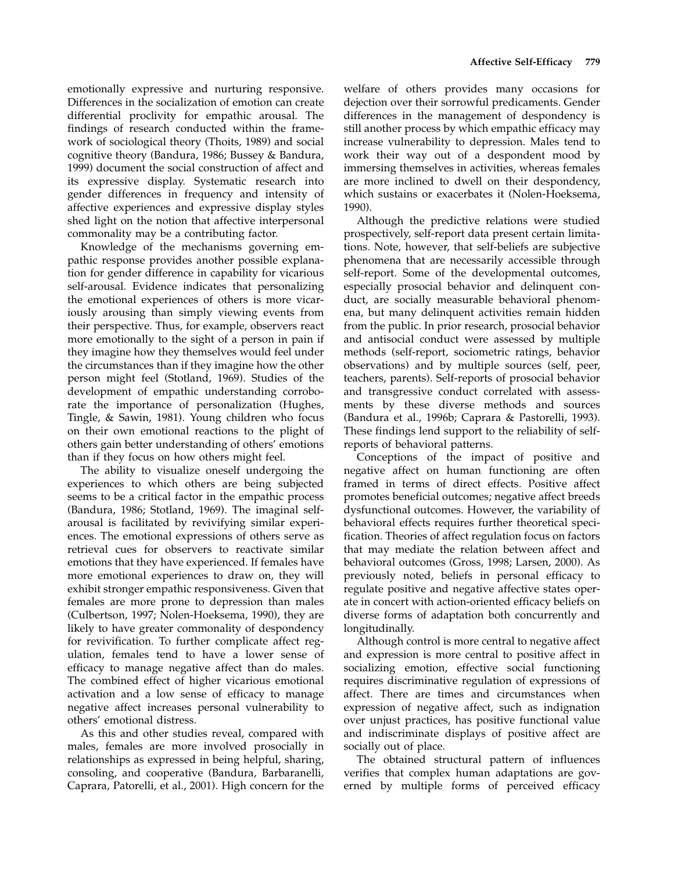emotionally expressive and nurturing responsive. Differences in the socialization of emotion can create differential proclivity for empathic arousal. The findings of research conducted within the framework of sociological theory (Thoits, 1989) and social cognitive theory (Bandura, 1986; Bussey & Bandura, 1999) document the social construction of affect and its expressive display. Systematic research into gender differences in frequency and intensity of affective experiences and expressive display styles shed light on the notion that affective interpersonal commonality may be a contributing factor.

Knowledge of the mechanisms governing empathic response provides another possible explanation for gender difference in capability for vicarious self-arousal. Evidence indicates that personalizing the emotional experiences of others is more vicariously arousing than simply viewing events from their perspective. Thus, for example, observers react more emotionally to the sight of a person in pain if they imagine how they themselves would feel under the circumstances than if they imagine how the other person might feel (Stotland, 1969). Studies of the development of empathic understanding corroborate the importance of personalization (Hughes, Tingle, & Sawin, 1981). Young children who focus on their own emotional reactions to the plight of others gain better understanding of others' emotions than if they focus on how others might feel.

The ability to visualize oneself undergoing the experiences to which others are being subjected seems to be a critical factor in the empathic process (Bandura, 1986; Stotland, 1969). The imaginal selfarousal is facilitated by revivifying similar experiences. The emotional expressions of others serve as retrieval cues for observers to reactivate similar emotions that they have experienced. If females have more emotional experiences to draw on, they will exhibit stronger empathic responsiveness. Given that females are more prone to depression than males (Culbertson, 1997; Nolen-Hoeksema, 1990), they are likely to have greater commonality of despondency for revivification. To further complicate affect regulation, females tend to have a lower sense of efficacy to manage negative affect than do males. The combined effect of higher vicarious emotional activation and a low sense of efficacy to manage negative affect increases personal vulnerability to others' emotional distress.

As this and other studies reveal, compared with males, females are more involved prosocially in relationships as expressed in being helpful, sharing, consoling, and cooperative (Bandura, Barbaranelli, Caprara, Patorelli, et al., 2001). High concern for the welfare of others provides many occasions for dejection over their sorrowful predicaments. Gender differences in the management of despondency is still another process by which empathic efficacy may increase vulnerability to depression. Males tend to work their way out of a despondent mood by immersing themselves in activities, whereas females are more inclined to dwell on their despondency, which sustains or exacerbates it (Nolen-Hoeksema, 1990).

Although the predictive relations were studied prospectively, self-report data present certain limitations. Note, however, that self-beliefs are subjective phenomena that are necessarily accessible through self-report. Some of the developmental outcomes, especially prosocial behavior and delinquent conduct, are socially measurable behavioral phenomena, but many delinquent activities remain hidden from the public. In prior research, prosocial behavior and antisocial conduct were assessed by multiple methods (self-report, sociometric ratings, behavior observations) and by multiple sources (self, peer, teachers, parents). Self-reports of prosocial behavior and transgressive conduct correlated with assessments by these diverse methods and sources (Bandura et al., 1996b; Caprara & Pastorelli, 1993). These findings lend support to the reliability of selfreports of behavioral patterns.

Conceptions of the impact of positive and negative affect on human functioning are often framed in terms of direct effects. Positive affect promotes beneficial outcomes; negative affect breeds dysfunctional outcomes. However, the variability of behavioral effects requires further theoretical specification. Theories of affect regulation focus on factors that may mediate the relation between affect and behavioral outcomes (Gross, 1998; Larsen, 2000). As previously noted, beliefs in personal efficacy to regulate positive and negative affective states operate in concert with action-oriented efficacy beliefs on diverse forms of adaptation both concurrently and longitudinally.

Although control is more central to negative affect and expression is more central to positive affect in socializing emotion, effective social functioning requires discriminative regulation of expressions of affect. There are times and circumstances when expression of negative affect, such as indignation over unjust practices, has positive functional value and indiscriminate displays of positive affect are socially out of place.

The obtained structural pattern of influences verifies that complex human adaptations are governed by multiple forms of perceived efficacy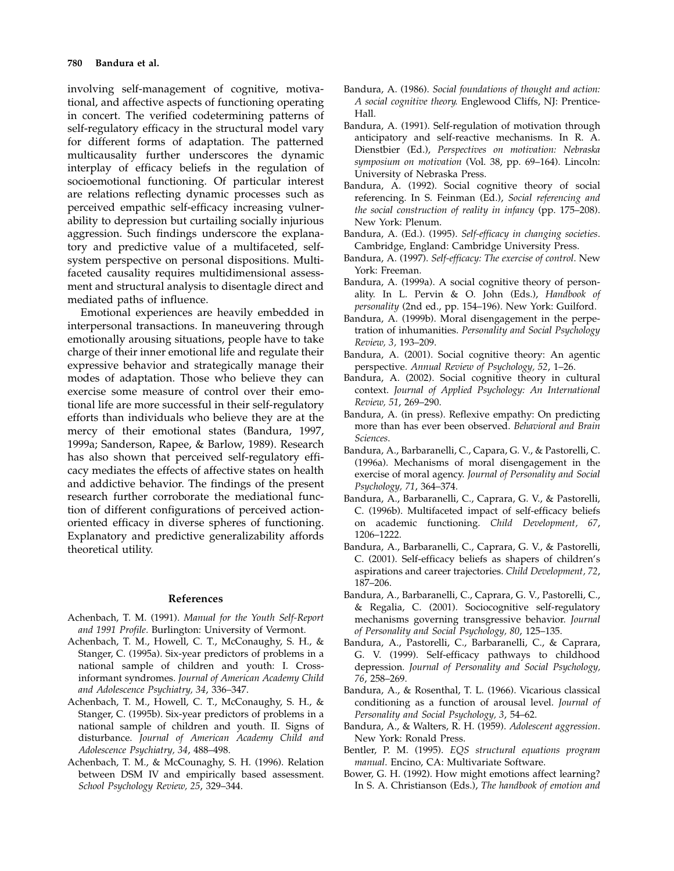involving self-management of cognitive, motivational, and affective aspects of functioning operating in concert. The verified codetermining patterns of self-regulatory efficacy in the structural model vary for different forms of adaptation. The patterned multicausality further underscores the dynamic interplay of efficacy beliefs in the regulation of socioemotional functioning. Of particular interest are relations reflecting dynamic processes such as perceived empathic self-efficacy increasing vulnerability to depression but curtailing socially injurious aggression. Such findings underscore the explanatory and predictive value of a multifaceted, selfsystem perspective on personal dispositions. Multifaceted causality requires multidimensional assessment and structural analysis to disentagle direct and mediated paths of influence.

Emotional experiences are heavily embedded in interpersonal transactions. In maneuvering through emotionally arousing situations, people have to take charge of their inner emotional life and regulate their expressive behavior and strategically manage their modes of adaptation. Those who believe they can exercise some measure of control over their emotional life are more successful in their self-regulatory efforts than individuals who believe they are at the mercy of their emotional states (Bandura, 1997, 1999a; Sanderson, Rapee, & Barlow, 1989). Research has also shown that perceived self-regulatory efficacy mediates the effects of affective states on health and addictive behavior. The findings of the present research further corroborate the mediational function of different configurations of perceived actionoriented efficacy in diverse spheres of functioning. Explanatory and predictive generalizability affords theoretical utility.

#### References

- Achenbach, T. M. (1991). Manual for the Youth Self-Report and 1991 Profile. Burlington: University of Vermont.
- Achenbach, T. M., Howell, C. T., McConaughy, S. H., & Stanger, C. (1995a). Six-year predictors of problems in a national sample of children and youth: I. Crossinformant syndromes. Journal of American Academy Child and Adolescence Psychiatry, 34, 336–347.
- Achenbach, T. M., Howell, C. T., McConaughy, S. H., & Stanger, C. (1995b). Six-year predictors of problems in a national sample of children and youth. II. Signs of disturbance. Journal of American Academy Child and Adolescence Psychiatry, 34, 488–498.
- Achenbach, T. M., & McCounaghy, S. H. (1996). Relation between DSM IV and empirically based assessment. School Psychology Review, 25, 329–344.
- Bandura, A. (1986). Social foundations of thought and action: A social cognitive theory. Englewood Cliffs, NJ: Prentice-Hall.
- Bandura, A. (1991). Self-regulation of motivation through anticipatory and self-reactive mechanisms. In R. A. Dienstbier (Ed.), Perspectives on motivation: Nebraska symposium on motivation (Vol. 38, pp. 69-164). Lincoln: University of Nebraska Press.
- Bandura, A. (1992). Social cognitive theory of social referencing. In S. Feinman (Ed.), Social referencing and the social construction of reality in infancy (pp. 175–208). New York: Plenum.
- Bandura, A. (Ed.). (1995). Self-efficacy in changing societies. Cambridge, England: Cambridge University Press.
- Bandura, A. (1997). Self-efficacy: The exercise of control. New York: Freeman.
- Bandura, A. (1999a). A social cognitive theory of personality. In L. Pervin & O. John (Eds.), Handbook of personality (2nd ed., pp. 154–196). New York: Guilford.
- Bandura, A. (1999b). Moral disengagement in the perpetration of inhumanities. Personality and Social Psychology Review, 3, 193–209.
- Bandura, A. (2001). Social cognitive theory: An agentic perspective. Annual Review of Psychology, 52, 1–26.
- Bandura, A. (2002). Social cognitive theory in cultural context. Journal of Applied Psychology: An International Review, 51, 269–290.
- Bandura, A. (in press). Reflexive empathy: On predicting more than has ever been observed. Behavioral and Brain Sciences.
- Bandura, A., Barbaranelli, C., Capara, G. V., & Pastorelli, C. (1996a). Mechanisms of moral disengagement in the exercise of moral agency. Journal of Personality and Social Psychology, 71, 364–374.
- Bandura, A., Barbaranelli, C., Caprara, G. V., & Pastorelli, C. (1996b). Multifaceted impact of self-efficacy beliefs on academic functioning. Child Development, 67, 1206–1222.
- Bandura, A., Barbaranelli, C., Caprara, G. V., & Pastorelli, C. (2001). Self-efficacy beliefs as shapers of children's aspirations and career trajectories. Child Development, 72, 187–206.
- Bandura, A., Barbaranelli, C., Caprara, G. V., Pastorelli, C., & Regalia, C. (2001). Sociocognitive self-regulatory mechanisms governing transgressive behavior. Journal of Personality and Social Psychology, 80, 125–135.
- Bandura, A., Pastorelli, C., Barbaranelli, C., & Caprara, G. V. (1999). Self-efficacy pathways to childhood depression. Journal of Personality and Social Psychology, 76, 258–269.
- Bandura, A., & Rosenthal, T. L. (1966). Vicarious classical conditioning as a function of arousal level. Journal of Personality and Social Psychology, 3, 54–62.
- Bandura, A., & Walters, R. H. (1959). Adolescent aggression. New York: Ronald Press.
- Bentler, P. M. (1995). EQS structural equations program manual. Encino, CA: Multivariate Software.
- Bower, G. H. (1992). How might emotions affect learning? In S. A. Christianson (Eds.), The handbook of emotion and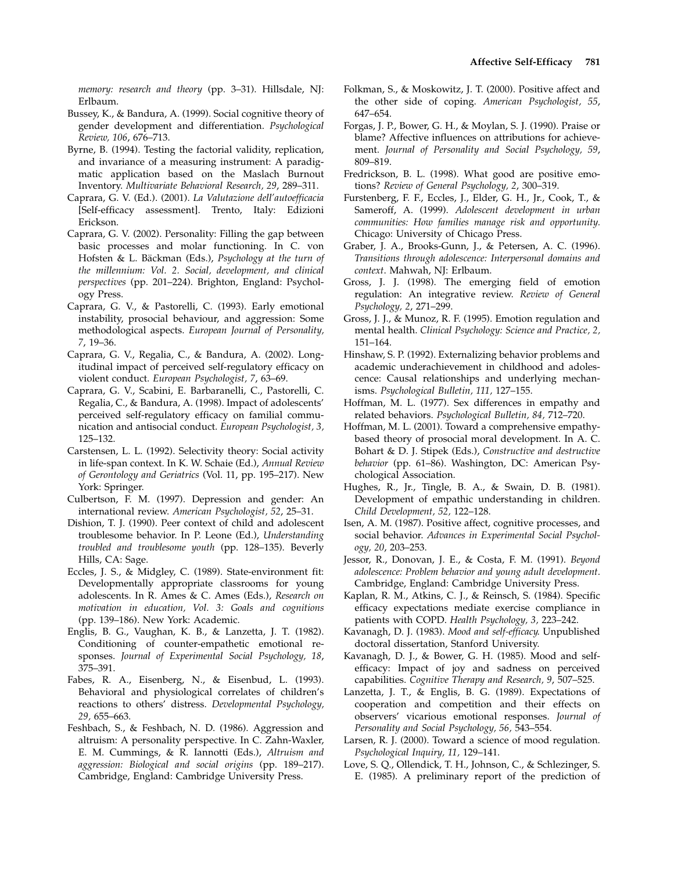memory: research and theory (pp. 3-31). Hillsdale, NJ: Erlbaum.

- Bussey, K., & Bandura, A. (1999). Social cognitive theory of gender development and differentiation. Psychological Review, 106, 676–713.
- Byrne, B. (1994). Testing the factorial validity, replication, and invariance of a measuring instrument: A paradigmatic application based on the Maslach Burnout Inventory. Multivariate Behavioral Research, 29, 289–311.
- Caprara, G. V. (Ed.). (2001). La Valutazione dell'autoefficacia [Self-efficacy assessment]. Trento, Italy: Edizioni Erickson.
- Caprara, G. V. (2002). Personality: Filling the gap between basic processes and molar functioning. In C. von Hofsten & L. Bäckman (Eds.), Psychology at the turn of the millennium: Vol. 2. Social, development, and clinical perspectives (pp. 201–224). Brighton, England: Psychology Press.
- Caprara, G. V., & Pastorelli, C. (1993). Early emotional instability, prosocial behaviour, and aggression: Some methodological aspects. European Journal of Personality, 7, 19–36.
- Caprara, G. V., Regalia, C., & Bandura, A. (2002). Longitudinal impact of perceived self-regulatory efficacy on violent conduct. European Psychologist, 7, 63–69.
- Caprara, G. V., Scabini, E. Barbaranelli, C., Pastorelli, C. Regalia, C., & Bandura, A. (1998). Impact of adolescents' perceived self-regulatory efficacy on familial communication and antisocial conduct. European Psychologist, 3, 125–132.
- Carstensen, L. L. (1992). Selectivity theory: Social activity in life-span context. In K. W. Schaie (Ed.), Annual Review of Gerontology and Geriatrics (Vol. 11, pp. 195–217). New York: Springer.
- Culbertson, F. M. (1997). Depression and gender: An international review. American Psychologist, 52, 25–31.
- Dishion, T. J. (1990). Peer context of child and adolescent troublesome behavior. In P. Leone (Ed.), Understanding troubled and troublesome youth (pp. 128–135). Beverly Hills, CA: Sage.
- Eccles, J. S., & Midgley, C. (1989). State-environment fit: Developmentally appropriate classrooms for young adolescents. In R. Ames & C. Ames (Eds.), Research on motivation in education, Vol. 3: Goals and cognitions (pp. 139–186). New York: Academic.
- Englis, B. G., Vaughan, K. B., & Lanzetta, J. T. (1982). Conditioning of counter-empathetic emotional responses. Journal of Experimental Social Psychology, 18, 375–391.
- Fabes, R. A., Eisenberg, N., & Eisenbud, L. (1993). Behavioral and physiological correlates of children's reactions to others' distress. Developmental Psychology, 29, 655–663.
- Feshbach, S., & Feshbach, N. D. (1986). Aggression and altruism: A personality perspective. In C. Zahn-Waxler, E. M. Cummings, & R. Iannotti (Eds.), Altruism and aggression: Biological and social origins (pp. 189–217). Cambridge, England: Cambridge University Press.
- Folkman, S., & Moskowitz, J. T. (2000). Positive affect and the other side of coping. American Psychologist, 55, 647–654.
- Forgas, J. P., Bower, G. H., & Moylan, S. J. (1990). Praise or blame? Affective influences on attributions for achievement. Journal of Personality and Social Psychology, 59, 809–819.
- Fredrickson, B. L. (1998). What good are positive emotions? Review of General Psychology, 2, 300–319.
- Furstenberg, F. F., Eccles, J., Elder, G. H., Jr., Cook, T., & Sameroff, A. (1999). Adolescent development in urban communities: How families manage risk and opportunity. Chicago: University of Chicago Press.
- Graber, J. A., Brooks-Gunn, J., & Petersen, A. C. (1996). Transitions through adolescence: Interpersonal domains and context. Mahwah, NJ: Erlbaum.
- Gross, J. J. (1998). The emerging field of emotion regulation: An integrative review. Review of General Psychology, 2, 271–299.
- Gross, J. J., & Munoz, R. F. (1995). Emotion regulation and mental health. Clinical Psychology: Science and Practice, 2, 151–164.
- Hinshaw, S. P. (1992). Externalizing behavior problems and academic underachievement in childhood and adolescence: Causal relationships and underlying mechanisms. Psychological Bulletin, 111, 127–155.
- Hoffman, M. L. (1977). Sex differences in empathy and related behaviors. Psychological Bulletin, 84, 712–720.
- Hoffman, M. L. (2001). Toward a comprehensive empathybased theory of prosocial moral development. In A. C. Bohart & D. J. Stipek (Eds.), Constructive and destructive behavior (pp. 61-86). Washington, DC: American Psychological Association.
- Hughes, R., Jr., Tingle, B. A., & Swain, D. B. (1981). Development of empathic understanding in children. Child Development, 52, 122–128.
- Isen, A. M. (1987). Positive affect, cognitive processes, and social behavior. Advances in Experimental Social Psychology, 20, 203–253.
- Jessor, R., Donovan, J. E., & Costa, F. M. (1991). Beyond adolescence: Problem behavior and young adult development. Cambridge, England: Cambridge University Press.
- Kaplan, R. M., Atkins, C. J., & Reinsch, S. (1984). Specific efficacy expectations mediate exercise compliance in patients with COPD. Health Psychology, 3, 223–242.
- Kavanagh, D. J. (1983). Mood and self-efficacy. Unpublished doctoral dissertation, Stanford University.
- Kavanagh, D. J., & Bower, G. H. (1985). Mood and selfefficacy: Impact of joy and sadness on perceived capabilities. Cognitive Therapy and Research, 9, 507–525.
- Lanzetta, J. T., & Englis, B. G. (1989). Expectations of cooperation and competition and their effects on observers' vicarious emotional responses. Journal of Personality and Social Psychology, 56, 543–554.
- Larsen, R. J. (2000). Toward a science of mood regulation. Psychological Inquiry, 11, 129–141.
- Love, S. Q., Ollendick, T. H., Johnson, C., & Schlezinger, S. E. (1985). A preliminary report of the prediction of